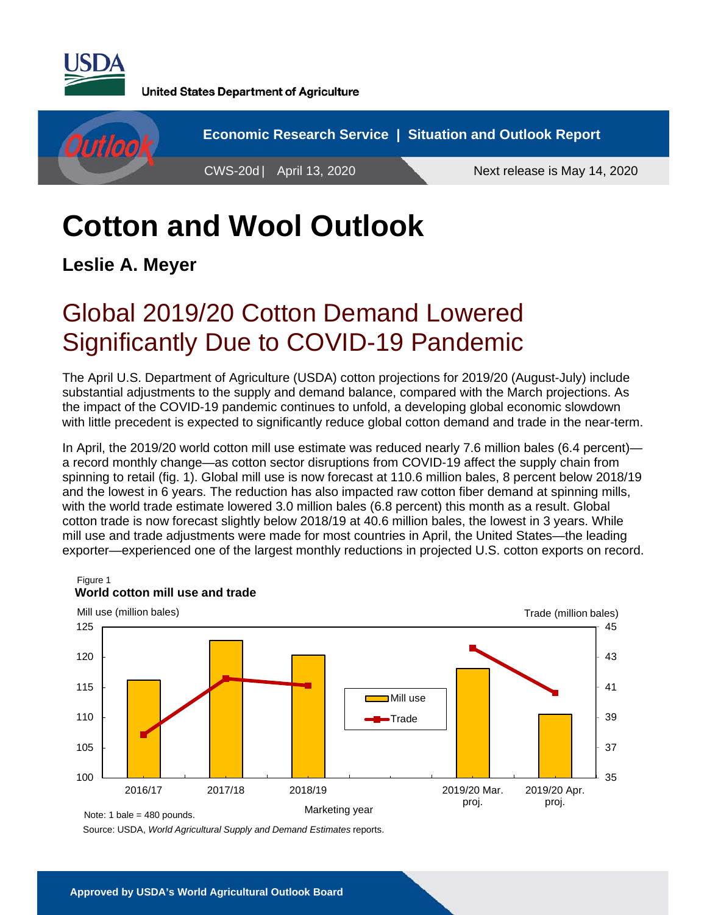

**United States Department of Agriculture** 



# **Cotton and Wool Outlook**

**Leslie A. Meyer** 

# Global 2019/20 Cotton Demand Lowered Significantly Due to COVID-19 Pandemic

The April U.S. Department of Agriculture (USDA) cotton projections for 2019/20 (August-July) include substantial adjustments to the supply and demand balance, compared with the March projections. As the impact of the COVID-19 pandemic continues to unfold, a developing global economic slowdown with little precedent is expected to significantly reduce global cotton demand and trade in the near-term.

In April, the 2019/20 world cotton mill use estimate was reduced nearly 7.6 million bales (6.4 percent) a record monthly change—as cotton sector disruptions from COVID-19 affect the supply chain from spinning to retail (fig. 1). Global mill use is now forecast at 110.6 million bales, 8 percent below 2018/19 and the lowest in 6 years. The reduction has also impacted raw cotton fiber demand at spinning mills, with the world trade estimate lowered 3.0 million bales (6.8 percent) this month as a result. Global cotton trade is now forecast slightly below 2018/19 at 40.6 million bales, the lowest in 3 years. While mill use and trade adjustments were made for most countries in April, the United States—the leading exporter—experienced one of the largest monthly reductions in projected U.S. cotton exports on record.



Source: USDA, *World Agricultural Supply and Demand Estimates* reports.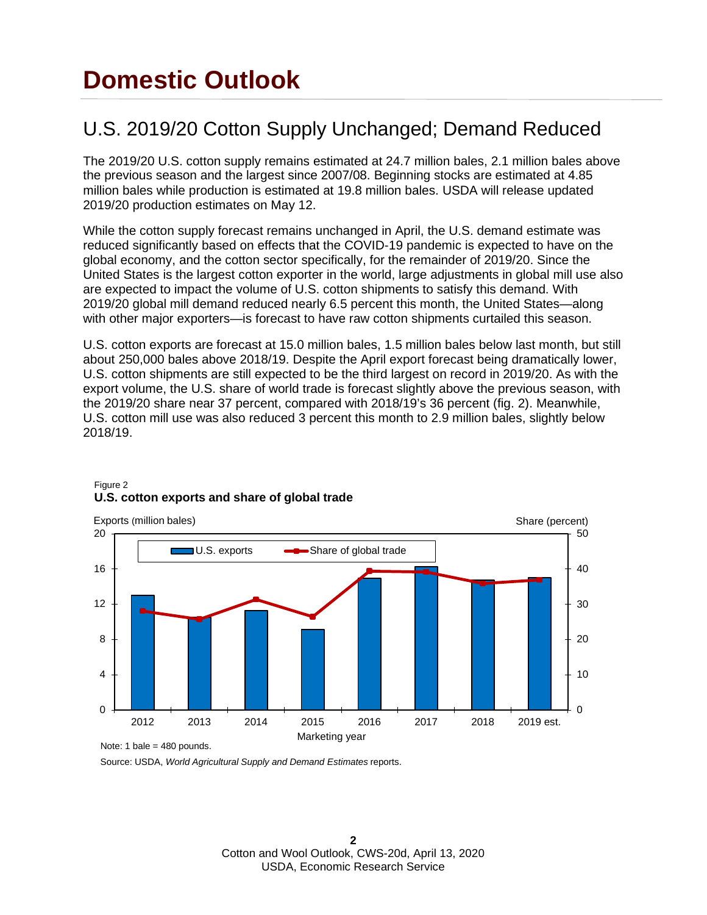# **Domestic Outlook**

## U.S. 2019/20 Cotton Supply Unchanged; Demand Reduced

The 2019/20 U.S. cotton supply remains estimated at 24.7 million bales, 2.1 million bales above the previous season and the largest since 2007/08. Beginning stocks are estimated at 4.85 million bales while production is estimated at 19.8 million bales. USDA will release updated 2019/20 production estimates on May 12.

While the cotton supply forecast remains unchanged in April, the U.S. demand estimate was reduced significantly based on effects that the COVID-19 pandemic is expected to have on the global economy, and the cotton sector specifically, for the remainder of 2019/20. Since the United States is the largest cotton exporter in the world, large adjustments in global mill use also are expected to impact the volume of U.S. cotton shipments to satisfy this demand. With 2019/20 global mill demand reduced nearly 6.5 percent this month, the United States—along with other major exporters—is forecast to have raw cotton shipments curtailed this season.

U.S. cotton exports are forecast at 15.0 million bales, 1.5 million bales below last month, but still about 250,000 bales above 2018/19. Despite the April export forecast being dramatically lower, U.S. cotton shipments are still expected to be the third largest on record in 2019/20. As with the export volume, the U.S. share of world trade is forecast slightly above the previous season, with the 2019/20 share near 37 percent, compared with 2018/19's 36 percent (fig. 2). Meanwhile, U.S. cotton mill use was also reduced 3 percent this month to 2.9 million bales, slightly below 2018/19.



#### Figure 2 **U.S. cotton exports and share of global trade**

Source: USDA, *World Agricultural Supply and Demand Estimates* reports.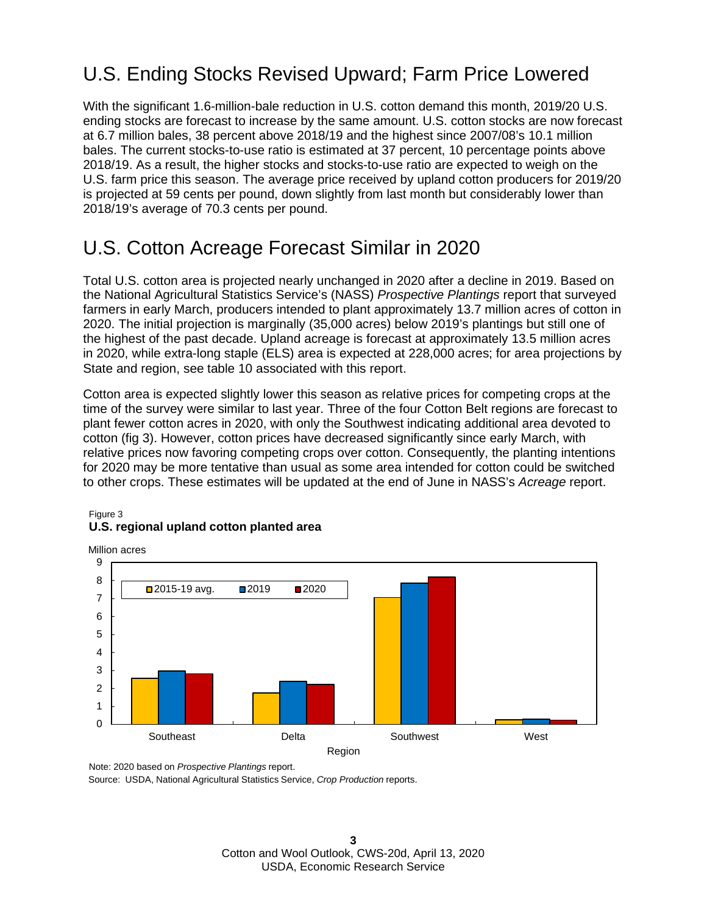## U.S. Ending Stocks Revised Upward; Farm Price Lowered

With the significant 1.6-million-bale reduction in U.S. cotton demand this month, 2019/20 U.S. ending stocks are forecast to increase by the same amount. U.S. cotton stocks are now forecast at 6.7 million bales, 38 percent above 2018/19 and the highest since 2007/08's 10.1 million bales. The current stocks-to-use ratio is estimated at 37 percent, 10 percentage points above 2018/19. As a result, the higher stocks and stocks-to-use ratio are expected to weigh on the U.S. farm price this season. The average price received by upland cotton producers for 2019/20 is projected at 59 cents per pound, down slightly from last month but considerably lower than 2018/19's average of 70.3 cents per pound.

## U.S. Cotton Acreage Forecast Similar in 2020

Total U.S. cotton area is projected nearly unchanged in 2020 after a decline in 2019. Based on the National Agricultural Statistics Service's (NASS) *Prospective Plantings* report that surveyed farmers in early March, producers intended to plant approximately 13.7 million acres of cotton in 2020. The initial projection is marginally (35,000 acres) below 2019's plantings but still one of the highest of the past decade. Upland acreage is forecast at approximately 13.5 million acres in 2020, while extra-long staple (ELS) area is expected at 228,000 acres; for area projections by State and region, see table 10 associated with this report.

Cotton area is expected slightly lower this season as relative prices for competing crops at the time of the survey were similar to last year. Three of the four Cotton Belt regions are forecast to plant fewer cotton acres in 2020, with only the Southwest indicating additional area devoted to cotton (fig 3). However, cotton prices have decreased significantly since early March, with relative prices now favoring competing crops over cotton. Consequently, the planting intentions for 2020 may be more tentative than usual as some area intended for cotton could be switched to other crops. These estimates will be updated at the end of June in NASS's *Acreage* report.

#### Figure 3 **U.S. regional upland cotton planted area**



Note: 2020 based on *Prospective Plantings* report.

Source: USDA, National Agricultural Statistics Service, *Crop Production* reports.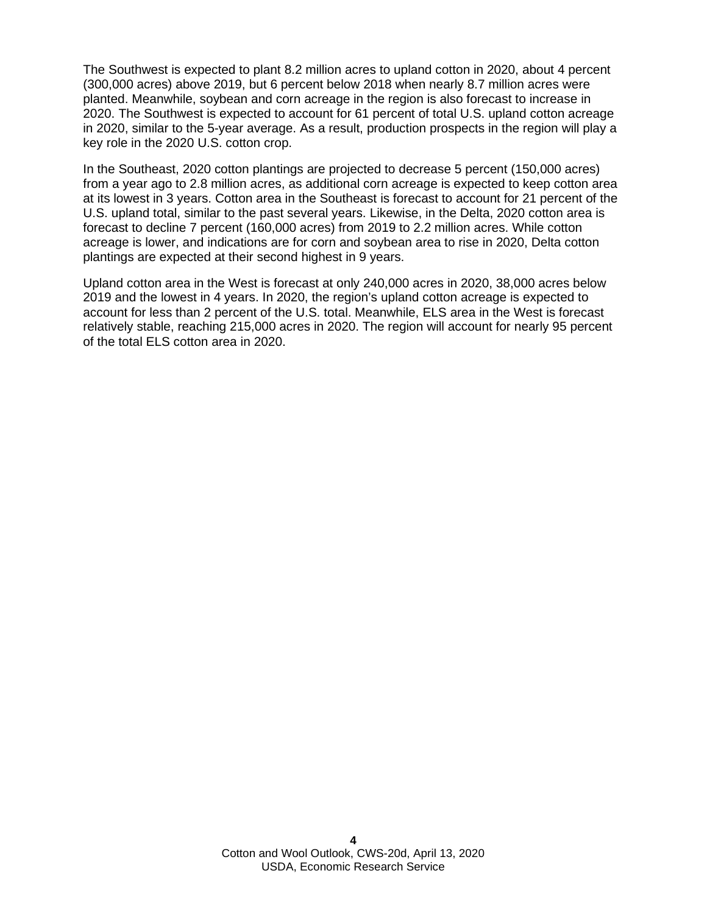The Southwest is expected to plant 8.2 million acres to upland cotton in 2020, about 4 percent (300,000 acres) above 2019, but 6 percent below 2018 when nearly 8.7 million acres were planted. Meanwhile, soybean and corn acreage in the region is also forecast to increase in 2020. The Southwest is expected to account for 61 percent of total U.S. upland cotton acreage in 2020, similar to the 5-year average. As a result, production prospects in the region will play a key role in the 2020 U.S. cotton crop.

In the Southeast, 2020 cotton plantings are projected to decrease 5 percent (150,000 acres) from a year ago to 2.8 million acres, as additional corn acreage is expected to keep cotton area at its lowest in 3 years. Cotton area in the Southeast is forecast to account for 21 percent of the U.S. upland total, similar to the past several years. Likewise, in the Delta, 2020 cotton area is forecast to decline 7 percent (160,000 acres) from 2019 to 2.2 million acres. While cotton acreage is lower, and indications are for corn and soybean area to rise in 2020, Delta cotton plantings are expected at their second highest in 9 years.

Upland cotton area in the West is forecast at only 240,000 acres in 2020, 38,000 acres below 2019 and the lowest in 4 years. In 2020, the region's upland cotton acreage is expected to account for less than 2 percent of the U.S. total. Meanwhile, ELS area in the West is forecast relatively stable, reaching 215,000 acres in 2020. The region will account for nearly 95 percent of the total ELS cotton area in 2020.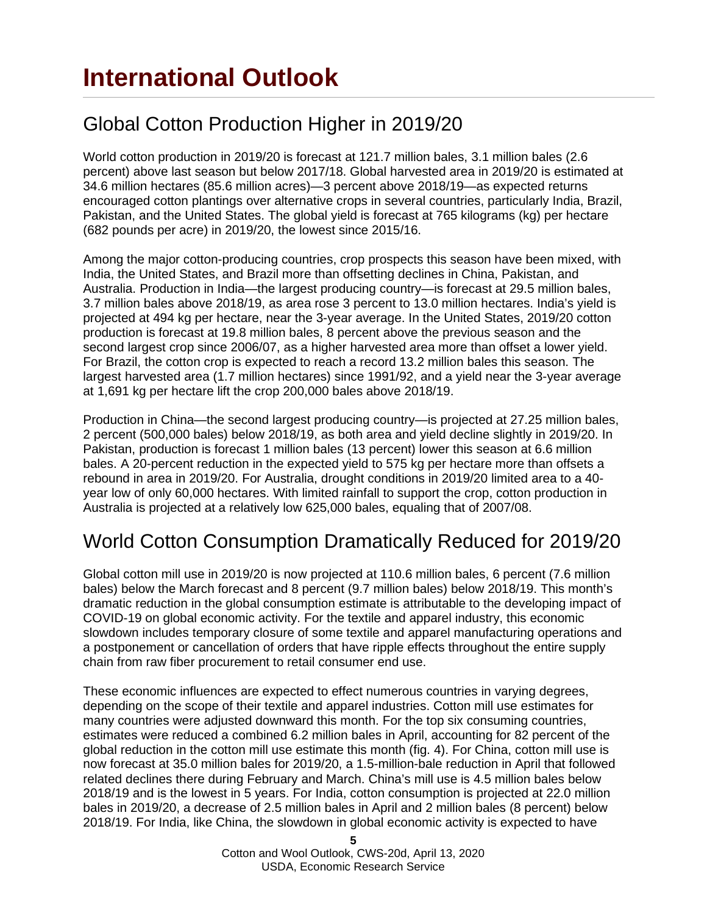# **International Outlook**

## Global Cotton Production Higher in 2019/20

World cotton production in 2019/20 is forecast at 121.7 million bales, 3.1 million bales (2.6 percent) above last season but below 2017/18. Global harvested area in 2019/20 is estimated at 34.6 million hectares (85.6 million acres)—3 percent above 2018/19—as expected returns encouraged cotton plantings over alternative crops in several countries, particularly India, Brazil, Pakistan, and the United States. The global yield is forecast at 765 kilograms (kg) per hectare (682 pounds per acre) in 2019/20, the lowest since 2015/16.

Among the major cotton-producing countries, crop prospects this season have been mixed, with India, the United States, and Brazil more than offsetting declines in China, Pakistan, and Australia. Production in India—the largest producing country—is forecast at 29.5 million bales, 3.7 million bales above 2018/19, as area rose 3 percent to 13.0 million hectares. India's yield is projected at 494 kg per hectare, near the 3-year average. In the United States, 2019/20 cotton production is forecast at 19.8 million bales, 8 percent above the previous season and the second largest crop since 2006/07, as a higher harvested area more than offset a lower yield. For Brazil, the cotton crop is expected to reach a record 13.2 million bales this season. The largest harvested area (1.7 million hectares) since 1991/92, and a yield near the 3-year average at 1,691 kg per hectare lift the crop 200,000 bales above 2018/19.

Production in China—the second largest producing country—is projected at 27.25 million bales, 2 percent (500,000 bales) below 2018/19, as both area and yield decline slightly in 2019/20. In Pakistan, production is forecast 1 million bales (13 percent) lower this season at 6.6 million bales. A 20-percent reduction in the expected yield to 575 kg per hectare more than offsets a rebound in area in 2019/20. For Australia, drought conditions in 2019/20 limited area to a 40 year low of only 60,000 hectares. With limited rainfall to support the crop, cotton production in Australia is projected at a relatively low 625,000 bales, equaling that of 2007/08.

## World Cotton Consumption Dramatically Reduced for 2019/20

Global cotton mill use in 2019/20 is now projected at 110.6 million bales, 6 percent (7.6 million bales) below the March forecast and 8 percent (9.7 million bales) below 2018/19. This month's dramatic reduction in the global consumption estimate is attributable to the developing impact of COVID-19 on global economic activity. For the textile and apparel industry, this economic slowdown includes temporary closure of some textile and apparel manufacturing operations and a postponement or cancellation of orders that have ripple effects throughout the entire supply chain from raw fiber procurement to retail consumer end use.

These economic influences are expected to effect numerous countries in varying degrees, depending on the scope of their textile and apparel industries. Cotton mill use estimates for many countries were adjusted downward this month. For the top six consuming countries, estimates were reduced a combined 6.2 million bales in April, accounting for 82 percent of the global reduction in the cotton mill use estimate this month (fig. 4). For China, cotton mill use is now forecast at 35.0 million bales for 2019/20, a 1.5-million-bale reduction in April that followed related declines there during February and March. China's mill use is 4.5 million bales below 2018/19 and is the lowest in 5 years. For India, cotton consumption is projected at 22.0 million bales in 2019/20, a decrease of 2.5 million bales in April and 2 million bales (8 percent) below 2018/19. For India, like China, the slowdown in global economic activity is expected to have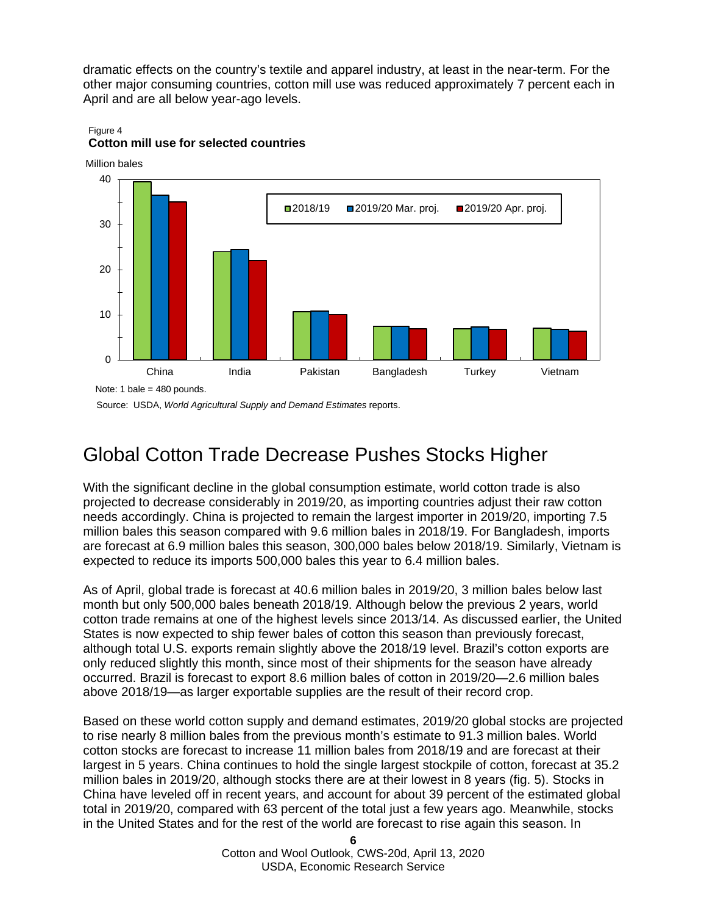dramatic effects on the country's textile and apparel industry, at least in the near-term. For the other major consuming countries, cotton mill use was reduced approximately 7 percent each in April and are all below year-ago levels.



#### Figure 4 **Cotton mill use for selected countries**

Million bales

Source: USDA, *World Agricultural Supply and Demand Estimates* reports.

## Global Cotton Trade Decrease Pushes Stocks Higher

With the significant decline in the global consumption estimate, world cotton trade is also projected to decrease considerably in 2019/20, as importing countries adjust their raw cotton needs accordingly. China is projected to remain the largest importer in 2019/20, importing 7.5 million bales this season compared with 9.6 million bales in 2018/19. For Bangladesh, imports are forecast at 6.9 million bales this season, 300,000 bales below 2018/19. Similarly, Vietnam is expected to reduce its imports 500,000 bales this year to 6.4 million bales.

As of April, global trade is forecast at 40.6 million bales in 2019/20, 3 million bales below last month but only 500,000 bales beneath 2018/19. Although below the previous 2 years, world cotton trade remains at one of the highest levels since 2013/14. As discussed earlier, the United States is now expected to ship fewer bales of cotton this season than previously forecast, although total U.S. exports remain slightly above the 2018/19 level. Brazil's cotton exports are only reduced slightly this month, since most of their shipments for the season have already occurred. Brazil is forecast to export 8.6 million bales of cotton in 2019/20—2.6 million bales above 2018/19—as larger exportable supplies are the result of their record crop.

Based on these world cotton supply and demand estimates, 2019/20 global stocks are projected to rise nearly 8 million bales from the previous month's estimate to 91.3 million bales. World cotton stocks are forecast to increase 11 million bales from 2018/19 and are forecast at their largest in 5 years. China continues to hold the single largest stockpile of cotton, forecast at 35.2 million bales in 2019/20, although stocks there are at their lowest in 8 years (fig. 5). Stocks in China have leveled off in recent years, and account for about 39 percent of the estimated global total in 2019/20, compared with 63 percent of the total just a few years ago. Meanwhile, stocks in the United States and for the rest of the world are forecast to rise again this season. In

> **6** Cotton and Wool Outlook, CWS-20d, April 13, 2020 USDA, Economic Research Service